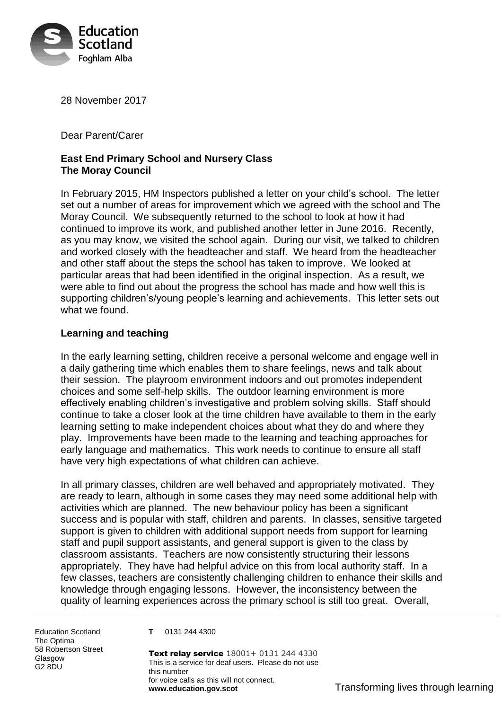

28 November 2017

Dear Parent/Carer

## **East End Primary School and Nursery Class The Moray Council**

In February 2015, HM Inspectors published a letter on your child's school. The letter set out a number of areas for improvement which we agreed with the school and The Moray Council. We subsequently returned to the school to look at how it had continued to improve its work, and published another letter in June 2016. Recently, as you may know, we visited the school again. During our visit, we talked to children and worked closely with the headteacher and staff. We heard from the headteacher and other staff about the steps the school has taken to improve. We looked at particular areas that had been identified in the original inspection. As a result, we were able to find out about the progress the school has made and how well this is supporting children's/young people's learning and achievements. This letter sets out what we found.

#### **Learning and teaching**

In the early learning setting, children receive a personal welcome and engage well in a daily gathering time which enables them to share feelings, news and talk about their session. The playroom environment indoors and out promotes independent choices and some self-help skills. The outdoor learning environment is more effectively enabling children's investigative and problem solving skills. Staff should continue to take a closer look at the time children have available to them in the early learning setting to make independent choices about what they do and where they play. Improvements have been made to the learning and teaching approaches for early language and mathematics. This work needs to continue to ensure all staff have very high expectations of what children can achieve.

In all primary classes, children are well behaved and appropriately motivated. They are ready to learn, although in some cases they may need some additional help with activities which are planned. The new behaviour policy has been a significant success and is popular with staff, children and parents. In classes, sensitive targeted support is given to children with additional support needs from support for learning staff and pupil support assistants, and general support is given to the class by classroom assistants. Teachers are now consistently structuring their lessons appropriately. They have had helpful advice on this from local authority staff. In a few classes, teachers are consistently challenging children to enhance their skills and knowledge through engaging lessons. However, the inconsistency between the quality of learning experiences across the primary school is still too great. Overall,

Education Scotland The Optima 58 Robertson Street Glasgow G2 8DU

**T** 0131 244 4300

Text relay service  $18001+0131$  244 4330 This is a service for deaf users. Please do not use this number for voice calls as this will not connect. **www.education.gov.scot** Transforming lives through learning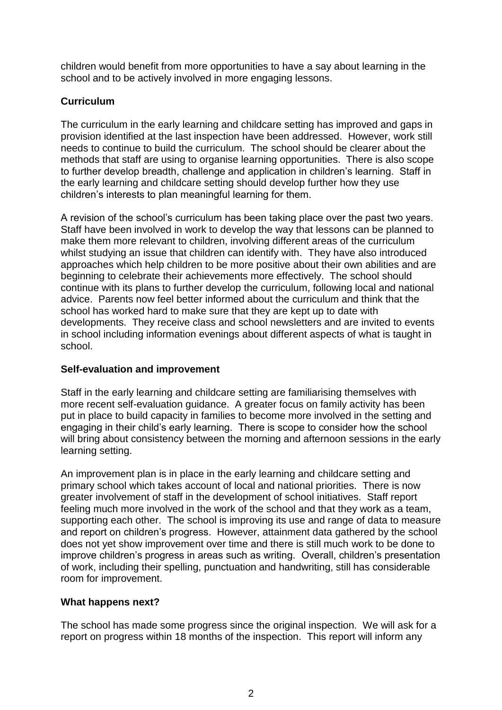children would benefit from more opportunities to have a say about learning in the school and to be actively involved in more engaging lessons.

# **Curriculum**

The curriculum in the early learning and childcare setting has improved and gaps in provision identified at the last inspection have been addressed. However, work still needs to continue to build the curriculum. The school should be clearer about the methods that staff are using to organise learning opportunities. There is also scope to further develop breadth, challenge and application in children's learning. Staff in the early learning and childcare setting should develop further how they use children's interests to plan meaningful learning for them.

A revision of the school's curriculum has been taking place over the past two years. Staff have been involved in work to develop the way that lessons can be planned to make them more relevant to children, involving different areas of the curriculum whilst studying an issue that children can identify with. They have also introduced approaches which help children to be more positive about their own abilities and are beginning to celebrate their achievements more effectively. The school should continue with its plans to further develop the curriculum, following local and national advice. Parents now feel better informed about the curriculum and think that the school has worked hard to make sure that they are kept up to date with developments. They receive class and school newsletters and are invited to events in school including information evenings about different aspects of what is taught in school.

## **Self-evaluation and improvement**

Staff in the early learning and childcare setting are familiarising themselves with more recent self-evaluation guidance. A greater focus on family activity has been put in place to build capacity in families to become more involved in the setting and engaging in their child's early learning. There is scope to consider how the school will bring about consistency between the morning and afternoon sessions in the early learning setting.

An improvement plan is in place in the early learning and childcare setting and primary school which takes account of local and national priorities. There is now greater involvement of staff in the development of school initiatives. Staff report feeling much more involved in the work of the school and that they work as a team, supporting each other. The school is improving its use and range of data to measure and report on children's progress. However, attainment data gathered by the school does not yet show improvement over time and there is still much work to be done to improve children's progress in areas such as writing. Overall, children's presentation of work, including their spelling, punctuation and handwriting, still has considerable room for improvement.

## **What happens next?**

The school has made some progress since the original inspection. We will ask for a report on progress within 18 months of the inspection. This report will inform any